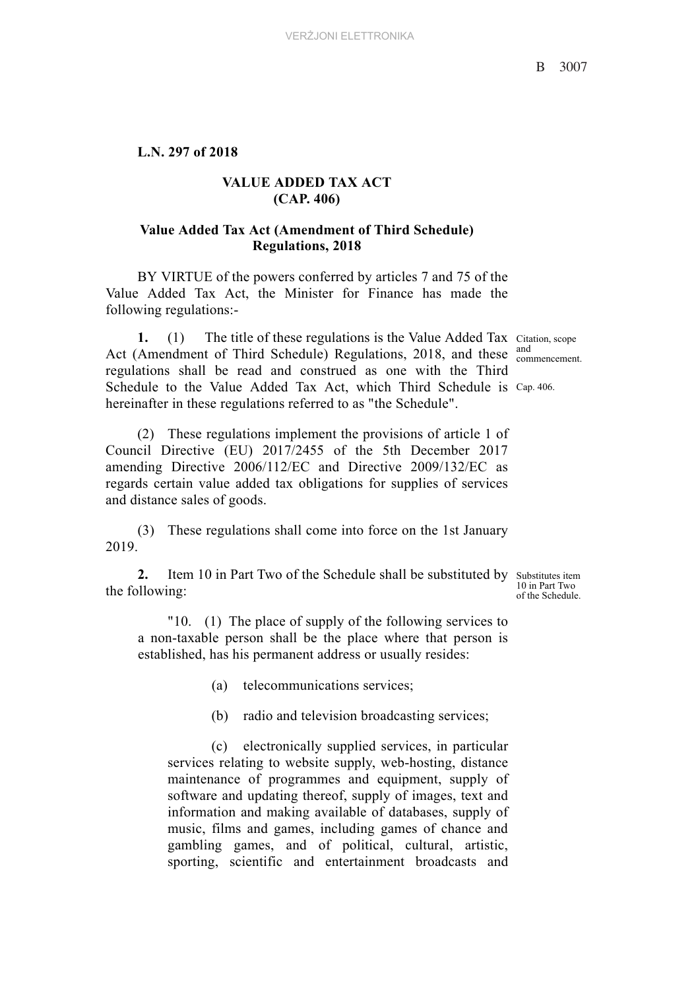## **L.N. 297 of 2018**

## **VALUE ADDED TAX ACT (CAP. 406)**

## **Value Added Tax Act (Amendment of Third Schedule) Regulations, 2018**

BY VIRTUE of the powers conferred by articles 7 and 75 of the Value Added Tax Act, the Minister for Finance has made the following regulations:-

**1.** (1) The title of these regulations is the Value Added Tax Citation, scope Act (Amendment of Third Schedule) Regulations, 2018, and these  $\frac{and}{component}$ Schedule to the Value Added Tax Act, which Third Schedule is Cap. 406. regulations shall be read and construed as one with the Third hereinafter in these regulations referred to as "the Schedule".

(2) These regulations implement the provisions of article 1 of Council Directive (EU) 2017/2455 of the 5th December 2017 amending Directive 2006/112/EC and Directive 2009/132/EC as regards certain value added tax obligations for supplies of services and distance sales of goods.

(3) These regulations shall come into force on the 1st January 2019.

**2.** Item 10 in Part Two of the Schedule shall be substituted by substitutes item the following:

of the Schedule. "10. (1) The place of supply of the following services to a non-taxable person shall be the place where that person is established, has his permanent address or usually resides:

(a) telecommunications services;

(b) radio and television broadcasting services;

(c) electronically supplied services, in particular services relating to website supply, web-hosting, distance maintenance of programmes and equipment, supply of software and updating thereof, supply of images, text and information and making available of databases, supply of music, films and games, including games of chance and gambling games, and of political, cultural, artistic, sporting, scientific and entertainment broadcasts and

and

10 in Part Two